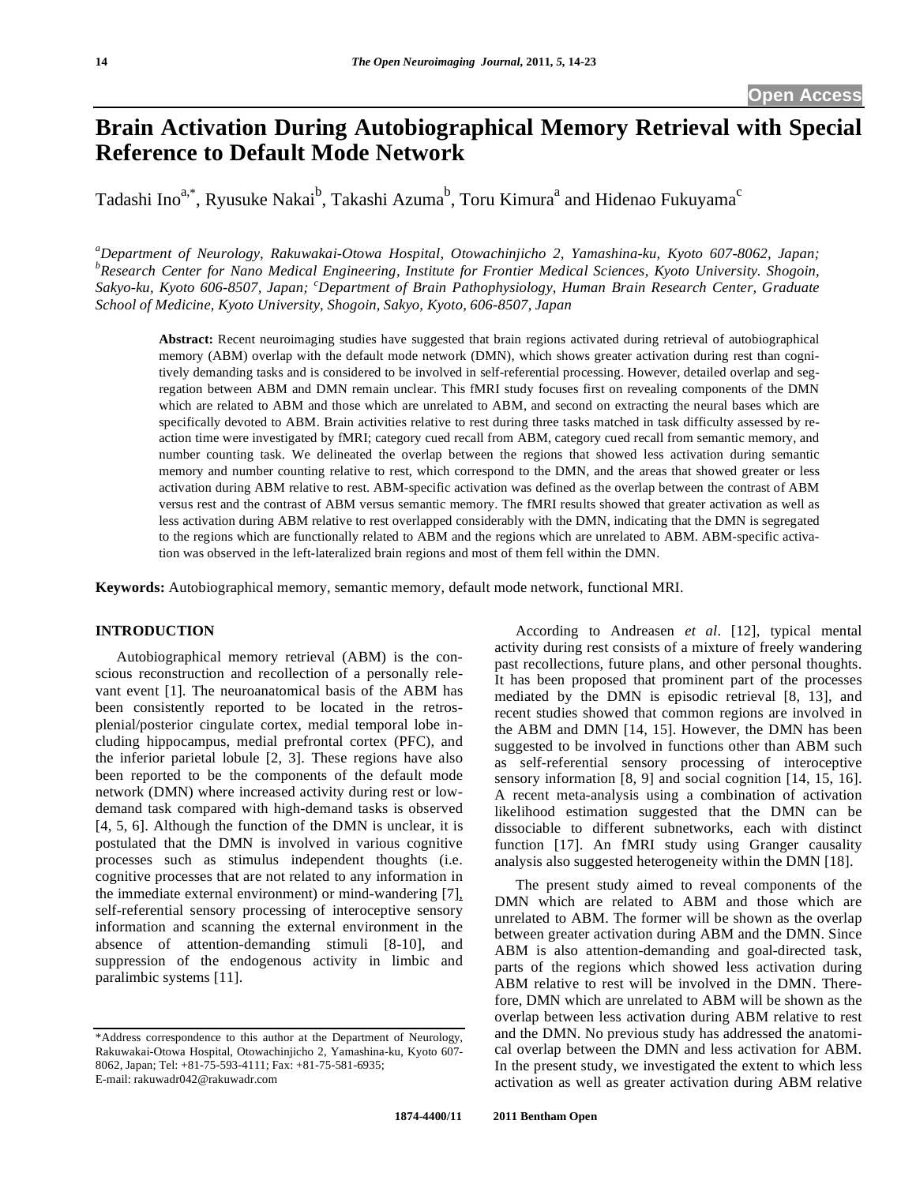# **Brain Activation During Autobiographical Memory Retrieval with Special Reference to Default Mode Network**

Tadashi Ino $^{a,*}$ , Ryusuke Nakai $^{\rm b}$ , Takashi Azuma $^{\rm b}$ , Toru Kimura $^{\rm a}$  and Hidenao Fukuyama $^{\rm c}$ 

*a Department of Neurology, Rakuwakai-Otowa Hospital, Otowachinjicho 2, Yamashina-ku, Kyoto 607-8062, Japan; b Research Center for Nano Medical Engineering, Institute for Frontier Medical Sciences, Kyoto University. Shogoin, Sakyo-ku, Kyoto 606-8507, Japan; <sup>c</sup> Department of Brain Pathophysiology, Human Brain Research Center, Graduate School of Medicine, Kyoto University, Shogoin, Sakyo, Kyoto, 606-8507, Japan* 

**Abstract:** Recent neuroimaging studies have suggested that brain regions activated during retrieval of autobiographical memory (ABM) overlap with the default mode network (DMN), which shows greater activation during rest than cognitively demanding tasks and is considered to be involved in self-referential processing. However, detailed overlap and segregation between ABM and DMN remain unclear. This fMRI study focuses first on revealing components of the DMN which are related to ABM and those which are unrelated to ABM, and second on extracting the neural bases which are specifically devoted to ABM. Brain activities relative to rest during three tasks matched in task difficulty assessed by reaction time were investigated by fMRI; category cued recall from ABM, category cued recall from semantic memory, and number counting task. We delineated the overlap between the regions that showed less activation during semantic memory and number counting relative to rest, which correspond to the DMN, and the areas that showed greater or less activation during ABM relative to rest. ABM-specific activation was defined as the overlap between the contrast of ABM versus rest and the contrast of ABM versus semantic memory. The fMRI results showed that greater activation as well as less activation during ABM relative to rest overlapped considerably with the DMN, indicating that the DMN is segregated to the regions which are functionally related to ABM and the regions which are unrelated to ABM. ABM-specific activation was observed in the left-lateralized brain regions and most of them fell within the DMN.

**Keywords:** Autobiographical memory, semantic memory, default mode network, functional MRI.

# **INTRODUCTION**

 Autobiographical memory retrieval (ABM) is the conscious reconstruction and recollection of a personally relevant event [1]. The neuroanatomical basis of the ABM has been consistently reported to be located in the retrosplenial/posterior cingulate cortex, medial temporal lobe including hippocampus, medial prefrontal cortex (PFC), and the inferior parietal lobule [2, 3]. These regions have also been reported to be the components of the default mode network (DMN) where increased activity during rest or lowdemand task compared with high-demand tasks is observed [4, 5, 6]. Although the function of the DMN is unclear, it is postulated that the DMN is involved in various cognitive processes such as stimulus independent thoughts (i.e. cognitive processes that are not related to any information in the immediate external environment) or mind-wandering [7], self-referential sensory processing of interoceptive sensory information and scanning the external environment in the absence of attention-demanding stimuli [8-10], and suppression of the endogenous activity in limbic and paralimbic systems [11].

 According to Andreasen *et al*. [12], typical mental activity during rest consists of a mixture of freely wandering past recollections, future plans, and other personal thoughts. It has been proposed that prominent part of the processes mediated by the DMN is episodic retrieval [8, 13], and recent studies showed that common regions are involved in the ABM and DMN [14, 15]. However, the DMN has been suggested to be involved in functions other than ABM such as self-referential sensory processing of interoceptive sensory information [8, 9] and social cognition [14, 15, 16]. A recent meta-analysis using a combination of activation likelihood estimation suggested that the DMN can be dissociable to different subnetworks, each with distinct function [17]. An fMRI study using Granger causality analysis also suggested heterogeneity within the DMN [18].

 The present study aimed to reveal components of the DMN which are related to ABM and those which are unrelated to ABM. The former will be shown as the overlap between greater activation during ABM and the DMN. Since ABM is also attention-demanding and goal-directed task, parts of the regions which showed less activation during ABM relative to rest will be involved in the DMN. Therefore, DMN which are unrelated to ABM will be shown as the overlap between less activation during ABM relative to rest and the DMN. No previous study has addressed the anatomical overlap between the DMN and less activation for ABM. In the present study, we investigated the extent to which less activation as well as greater activation during ABM relative

<sup>\*</sup>Address correspondence to this author at the Department of Neurology, Rakuwakai-Otowa Hospital, Otowachinjicho 2, Yamashina-ku, Kyoto 607- 8062, Japan; Tel: +81-75-593-4111; Fax: +81-75-581-6935; E-mail: rakuwadr042@rakuwadr.com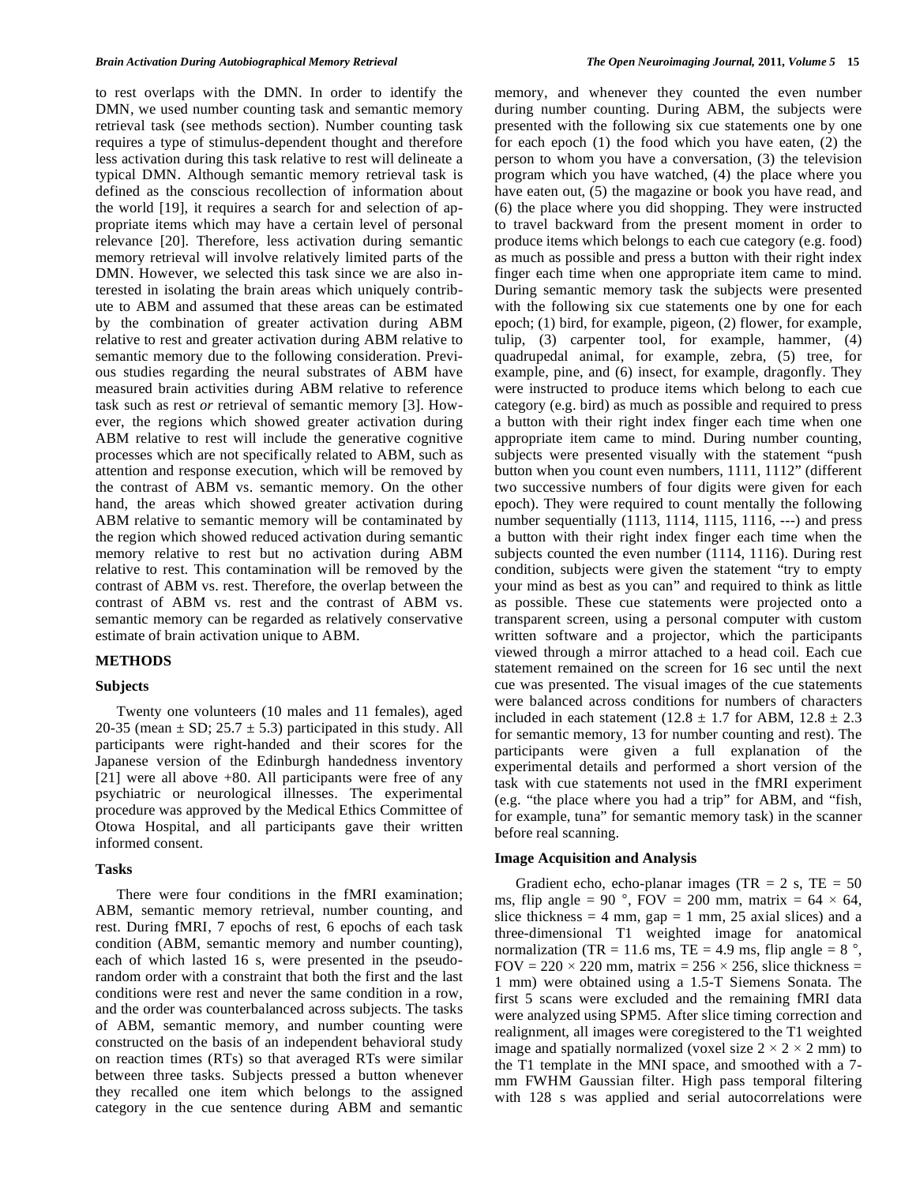to rest overlaps with the DMN. In order to identify the DMN, we used number counting task and semantic memory retrieval task (see methods section). Number counting task requires a type of stimulus-dependent thought and therefore less activation during this task relative to rest will delineate a typical DMN. Although semantic memory retrieval task is defined as the conscious recollection of information about the world [19], it requires a search for and selection of appropriate items which may have a certain level of personal relevance [20]. Therefore, less activation during semantic memory retrieval will involve relatively limited parts of the DMN. However, we selected this task since we are also interested in isolating the brain areas which uniquely contribute to ABM and assumed that these areas can be estimated by the combination of greater activation during ABM relative to rest and greater activation during ABM relative to semantic memory due to the following consideration. Previous studies regarding the neural substrates of ABM have measured brain activities during ABM relative to reference task such as rest *or* retrieval of semantic memory [3]. However, the regions which showed greater activation during ABM relative to rest will include the generative cognitive processes which are not specifically related to ABM, such as attention and response execution, which will be removed by the contrast of ABM vs. semantic memory. On the other hand, the areas which showed greater activation during ABM relative to semantic memory will be contaminated by the region which showed reduced activation during semantic memory relative to rest but no activation during ABM relative to rest. This contamination will be removed by the contrast of ABM vs. rest. Therefore, the overlap between the contrast of ABM vs. rest and the contrast of ABM vs. semantic memory can be regarded as relatively conservative estimate of brain activation unique to ABM.

# **METHODS**

#### **Subjects**

 Twenty one volunteers (10 males and 11 females), aged 20-35 (mean  $\pm$  SD; 25.7  $\pm$  5.3) participated in this study. All participants were right-handed and their scores for the Japanese version of the Edinburgh handedness inventory [21] were all above +80. All participants were free of any psychiatric or neurological illnesses. The experimental procedure was approved by the Medical Ethics Committee of Otowa Hospital, and all participants gave their written informed consent.

# **Tasks**

 There were four conditions in the fMRI examination; ABM, semantic memory retrieval, number counting, and rest. During fMRI, 7 epochs of rest, 6 epochs of each task condition (ABM, semantic memory and number counting), each of which lasted 16 s, were presented in the pseudorandom order with a constraint that both the first and the last conditions were rest and never the same condition in a row, and the order was counterbalanced across subjects. The tasks of ABM, semantic memory, and number counting were constructed on the basis of an independent behavioral study on reaction times (RTs) so that averaged RTs were similar between three tasks. Subjects pressed a button whenever they recalled one item which belongs to the assigned category in the cue sentence during ABM and semantic

memory, and whenever they counted the even number during number counting. During ABM, the subjects were presented with the following six cue statements one by one for each epoch (1) the food which you have eaten, (2) the person to whom you have a conversation, (3) the television program which you have watched, (4) the place where you have eaten out, (5) the magazine or book you have read, and (6) the place where you did shopping. They were instructed to travel backward from the present moment in order to produce items which belongs to each cue category (e.g. food) as much as possible and press a button with their right index finger each time when one appropriate item came to mind. During semantic memory task the subjects were presented with the following six cue statements one by one for each epoch; (1) bird, for example, pigeon, (2) flower, for example, tulip, (3) carpenter tool, for example, hammer, (4) quadrupedal animal, for example, zebra, (5) tree, for example, pine, and (6) insect, for example, dragonfly. They were instructed to produce items which belong to each cue category (e.g. bird) as much as possible and required to press a button with their right index finger each time when one appropriate item came to mind. During number counting, subjects were presented visually with the statement "push button when you count even numbers, 1111, 1112" (different two successive numbers of four digits were given for each epoch). They were required to count mentally the following number sequentially (1113, 1114, 1115, 1116, ---) and press a button with their right index finger each time when the subjects counted the even number (1114, 1116). During rest condition, subjects were given the statement "try to empty your mind as best as you can" and required to think as little as possible. These cue statements were projected onto a transparent screen, using a personal computer with custom written software and a projector, which the participants viewed through a mirror attached to a head coil. Each cue statement remained on the screen for 16 sec until the next cue was presented. The visual images of the cue statements were balanced across conditions for numbers of characters included in each statement (12.8  $\pm$  1.7 for ABM, 12.8  $\pm$  2.3 for semantic memory, 13 for number counting and rest). The participants were given a full explanation of the experimental details and performed a short version of the task with cue statements not used in the fMRI experiment (e.g. "the place where you had a trip" for ABM, and "fish, for example, tuna" for semantic memory task) in the scanner before real scanning.

#### **Image Acquisition and Analysis**

Gradient echo, echo-planar images (TR  $= 2$  s, TE  $= 50$ ) ms, flip angle = 90 °, FOV = 200 mm, matrix =  $64 \times 64$ , slice thickness = 4 mm,  $gap = 1$  mm, 25 axial slices) and a three-dimensional T1 weighted image for anatomical normalization (TR = 11.6 ms, TE = 4.9 ms, flip angle =  $8^\circ$ , FOV =  $220 \times 220$  mm, matrix =  $256 \times 256$ , slice thickness = 1 mm) were obtained using a 1.5-T Siemens Sonata. The first 5 scans were excluded and the remaining fMRI data were analyzed using SPM5. After slice timing correction and realignment, all images were coregistered to the T1 weighted image and spatially normalized (voxel size  $2 \times 2 \times 2$  mm) to the T1 template in the MNI space, and smoothed with a 7 mm FWHM Gaussian filter. High pass temporal filtering with 128 s was applied and serial autocorrelations were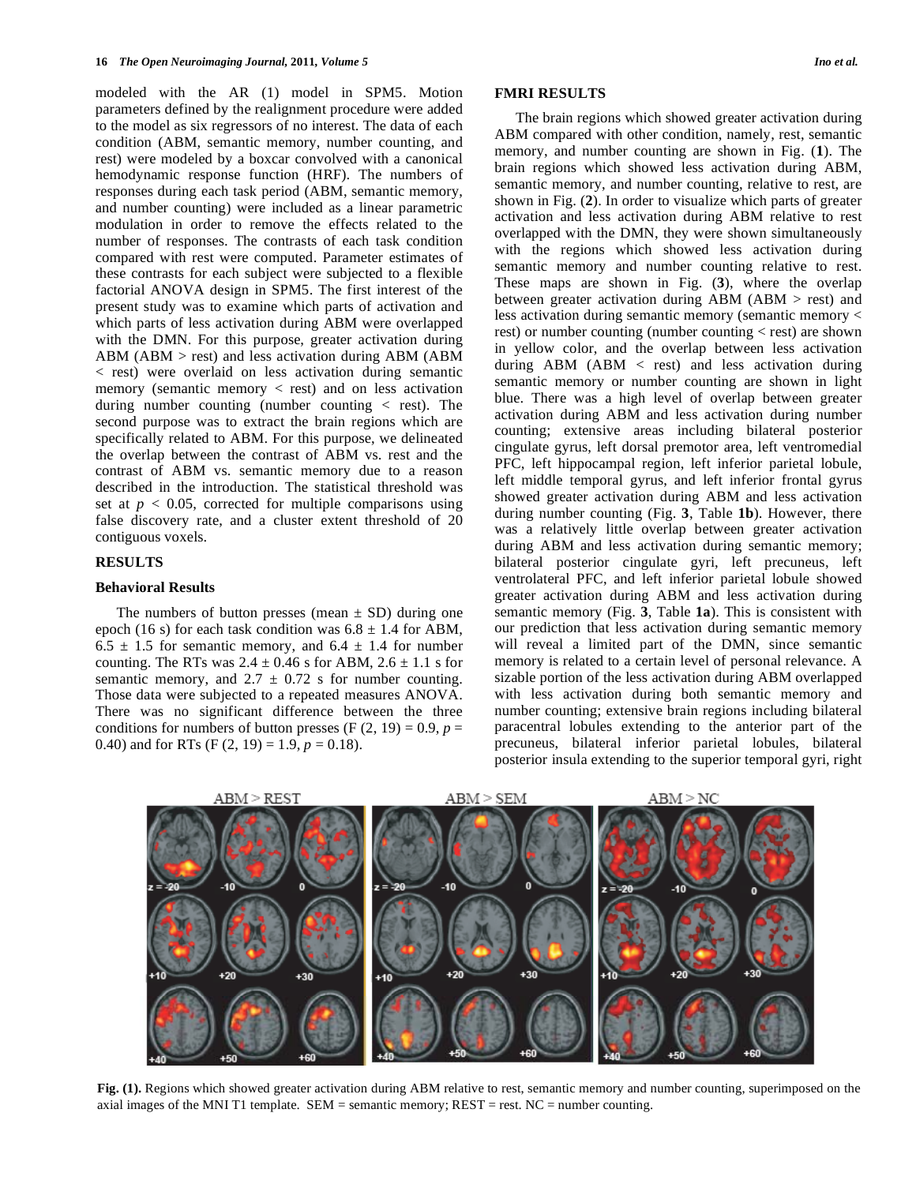modeled with the AR (1) model in SPM5. Motion parameters defined by the realignment procedure were added to the model as six regressors of no interest. The data of each condition (ABM, semantic memory, number counting, and rest) were modeled by a boxcar convolved with a canonical hemodynamic response function (HRF). The numbers of responses during each task period (ABM, semantic memory, and number counting) were included as a linear parametric modulation in order to remove the effects related to the number of responses. The contrasts of each task condition compared with rest were computed. Parameter estimates of these contrasts for each subject were subjected to a flexible factorial ANOVA design in SPM5. The first interest of the present study was to examine which parts of activation and which parts of less activation during ABM were overlapped with the DMN. For this purpose, greater activation during ABM (ABM  $>$  rest) and less activation during ABM (ABM < rest) were overlaid on less activation during semantic memory (semantic memory  $\langle$  rest) and on less activation during number counting (number counting  $\langle$  rest). The second purpose was to extract the brain regions which are specifically related to ABM. For this purpose, we delineated the overlap between the contrast of ABM vs. rest and the contrast of ABM vs. semantic memory due to a reason described in the introduction. The statistical threshold was set at  $p < 0.05$ , corrected for multiple comparisons using false discovery rate, and a cluster extent threshold of 20 contiguous voxels.

#### **RESULTS**

#### **Behavioral Results**

The numbers of button presses (mean  $\pm$  SD) during one epoch (16 s) for each task condition was  $6.8 \pm 1.4$  for ABM,  $6.5 \pm 1.5$  for semantic memory, and  $6.4 \pm 1.4$  for number counting. The RTs was  $2.4 \pm 0.46$  s for ABM,  $2.6 \pm 1.1$  s for semantic memory, and  $2.7 \pm 0.72$  s for number counting. Those data were subjected to a repeated measures ANOVA. There was no significant difference between the three conditions for numbers of button presses  $(F (2, 19) = 0.9, p =$ 0.40) and for RTs  $(F (2, 19) = 1.9, p = 0.18)$ .

# **FMRI RESULTS**

 The brain regions which showed greater activation during ABM compared with other condition, namely, rest, semantic memory, and number counting are shown in Fig. (**1**). The brain regions which showed less activation during ABM, semantic memory, and number counting, relative to rest, are shown in Fig. (**2**). In order to visualize which parts of greater activation and less activation during ABM relative to rest overlapped with the DMN, they were shown simultaneously with the regions which showed less activation during semantic memory and number counting relative to rest. These maps are shown in Fig. (**3**), where the overlap between greater activation during ABM (ABM > rest) and less activation during semantic memory (semantic memory < rest) or number counting (number counting < rest) are shown in yellow color, and the overlap between less activation during ABM (ABM < rest) and less activation during semantic memory or number counting are shown in light blue. There was a high level of overlap between greater activation during ABM and less activation during number counting; extensive areas including bilateral posterior cingulate gyrus, left dorsal premotor area, left ventromedial PFC, left hippocampal region, left inferior parietal lobule, left middle temporal gyrus, and left inferior frontal gyrus showed greater activation during ABM and less activation during number counting (Fig. **3**, Table **1b**). However, there was a relatively little overlap between greater activation during ABM and less activation during semantic memory; bilateral posterior cingulate gyri, left precuneus, left ventrolateral PFC, and left inferior parietal lobule showed greater activation during ABM and less activation during semantic memory (Fig. **3**, Table **1a**). This is consistent with our prediction that less activation during semantic memory will reveal a limited part of the DMN, since semantic memory is related to a certain level of personal relevance. A sizable portion of the less activation during ABM overlapped with less activation during both semantic memory and number counting; extensive brain regions including bilateral paracentral lobules extending to the anterior part of the precuneus, bilateral inferior parietal lobules, bilateral posterior insula extending to the superior temporal gyri, right



**Fig. (1).** Regions which showed greater activation during ABM relative to rest, semantic memory and number counting, superimposed on the axial images of the MNI T1 template. SEM = semantic memory; REST = rest. NC = number counting.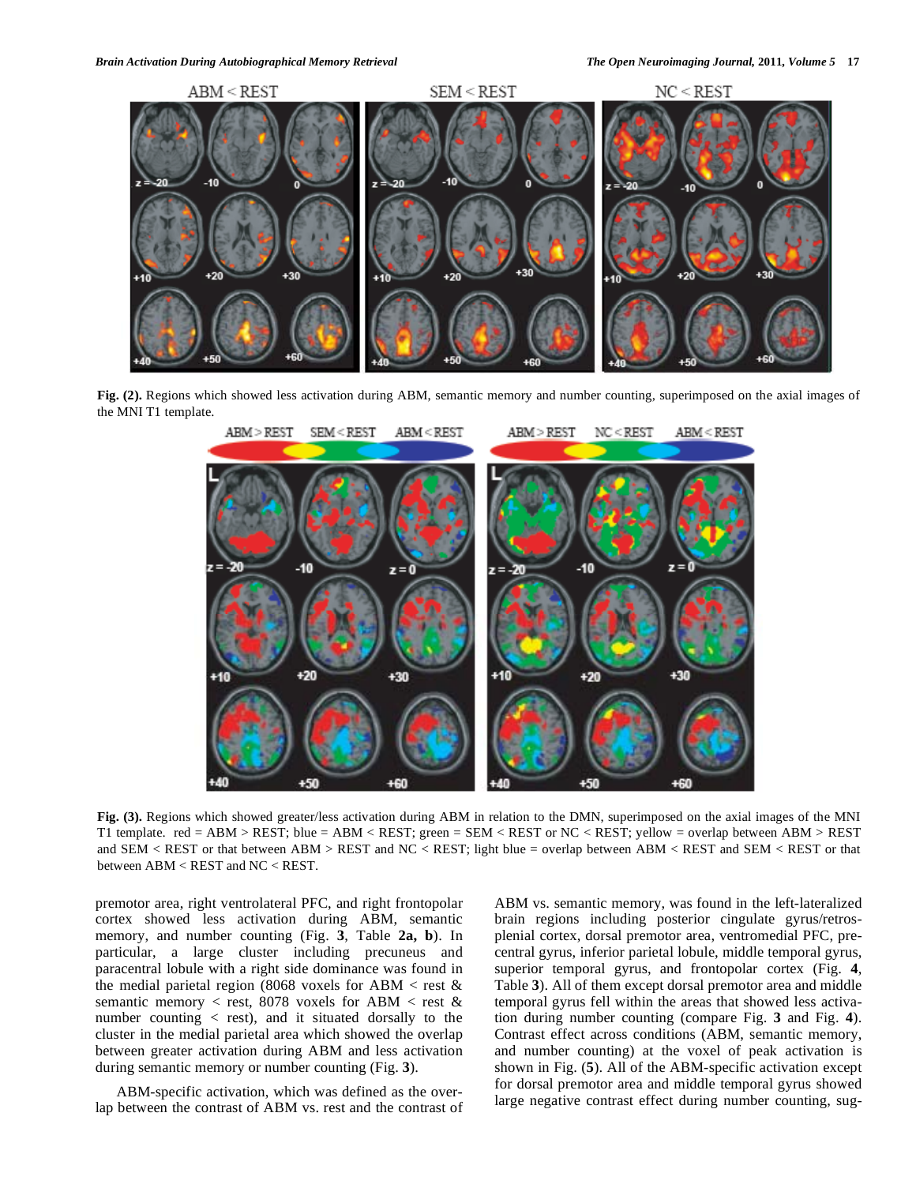

**Fig. (2).** Regions which showed less activation during ABM, semantic memory and number counting, superimposed on the axial images of the MNI T1 template.



**Fig. (3).** Regions which showed greater/less activation during ABM in relation to the DMN, superimposed on the axial images of the MNI T1 template. red = ABM > REST; blue = ABM < REST; green = SEM < REST or NC < REST; yellow = overlap between ABM > REST and  $SEM < REST$  or that between  $ABM > REST$  and  $NC < REST$ ; light blue = overlap between  $ABM < REST$  and  $SEM < REST$  or that between ABM < REST and NC < REST.

premotor area, right ventrolateral PFC, and right frontopolar cortex showed less activation during ABM, semantic memory, and number counting (Fig. **3**, Table **2a, b**). In particular, a large cluster including precuneus and paracentral lobule with a right side dominance was found in the medial parietal region (8068 voxels for ABM  $<$  rest & semantic memory  $\langle$  rest, 8078 voxels for ABM  $\langle$  rest & number counting  $\langle$  rest), and it situated dorsally to the cluster in the medial parietal area which showed the overlap between greater activation during ABM and less activation during semantic memory or number counting (Fig. **3**).

 ABM-specific activation, which was defined as the overlap between the contrast of ABM vs. rest and the contrast of ABM vs. semantic memory, was found in the left-lateralized brain regions including posterior cingulate gyrus/retrosplenial cortex, dorsal premotor area, ventromedial PFC, precentral gyrus, inferior parietal lobule, middle temporal gyrus, superior temporal gyrus, and frontopolar cortex (Fig. **4**, Table **3**). All of them except dorsal premotor area and middle temporal gyrus fell within the areas that showed less activation during number counting (compare Fig. **3** and Fig. **4**). Contrast effect across conditions (ABM, semantic memory, and number counting) at the voxel of peak activation is shown in Fig. (**5**). All of the ABM-specific activation except for dorsal premotor area and middle temporal gyrus showed large negative contrast effect during number counting, sug-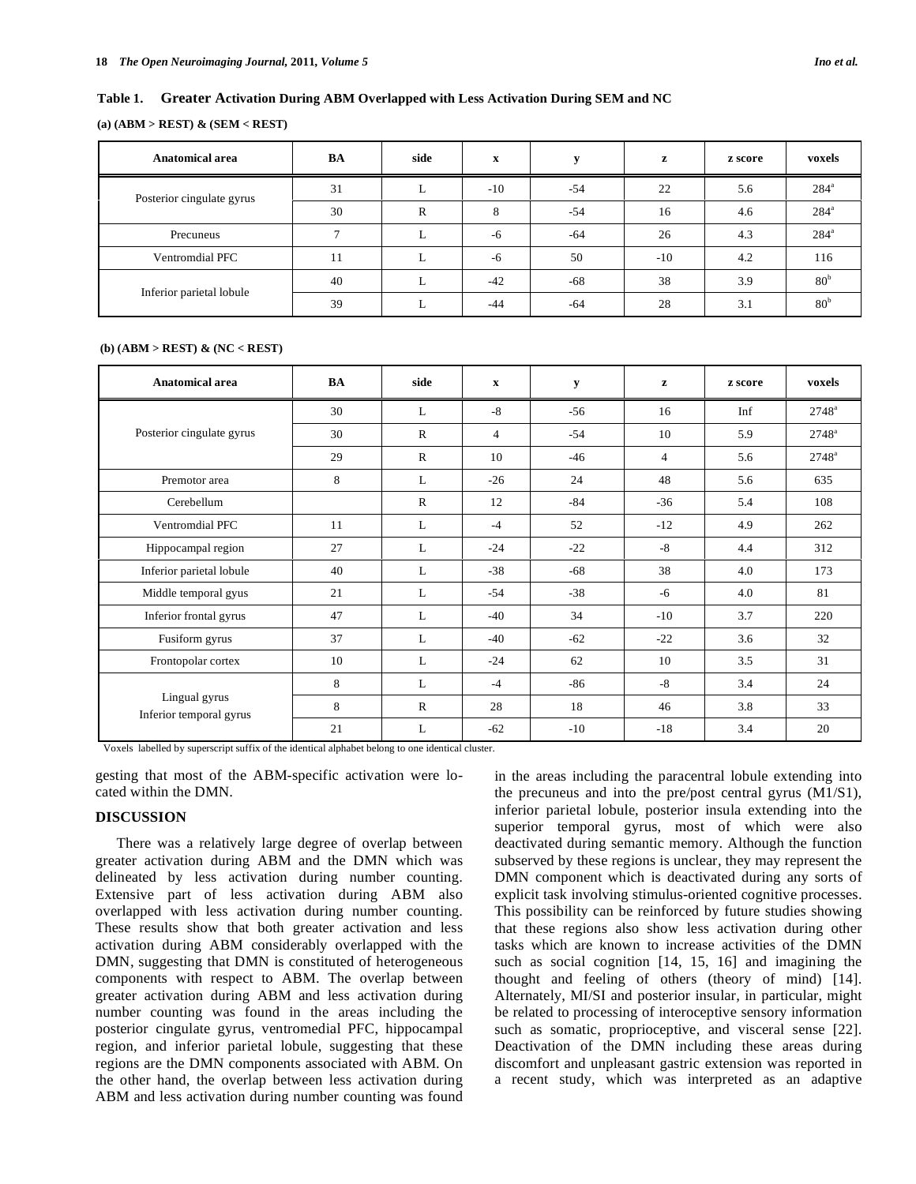#### **Table 1. Greater Activation During ABM Overlapped with Less Activation During SEM and NC**

#### **(a) (ABM > REST) & (SEM < REST)**

| Anatomical area           | BA | side | $\mathbf x$          | $\P$  | z     | z score | voxels          |
|---------------------------|----|------|----------------------|-------|-------|---------|-----------------|
| Posterior cingulate gyrus | 31 |      | $-10$                | $-54$ | 22    | 5.6     | $284^{\circ}$   |
|                           | 30 | R    | $\circ$<br>$\lambda$ | $-54$ | 16    | 4.6     | $284^a$         |
| Precuneus                 |    |      | $-6$                 | $-64$ | 26    | 4.3     | $284^{\circ}$   |
| Ventromdial PFC           | 11 |      | $-6$                 | 50    | $-10$ | 4.2     | 116             |
| Inferior parietal lobule  | 40 |      | $-42$                | -68   | 38    | 3.9     | 80 <sup>b</sup> |
|                           | 39 |      | $-44$                | $-64$ | 28    | 3.1     | 80 <sup>b</sup> |

#### **(b) (ABM > REST) & (NC < REST)**

| Anatomical area                          | BA | side         | $\mathbf x$    | y     | z     | z score | voxels         |
|------------------------------------------|----|--------------|----------------|-------|-------|---------|----------------|
|                                          | 30 | L            | $-8$           | $-56$ | 16    | Inf     | $2748^{\circ}$ |
| Posterior cingulate gyrus                | 30 | $\mathbb{R}$ | $\overline{4}$ | $-54$ | 10    | 5.9     | $2748^{\circ}$ |
|                                          | 29 | $\mathbb{R}$ | 10             | $-46$ | 4     | 5.6     | $2748^{\circ}$ |
| Premotor area                            | 8  | L            | $-26$          | 24    | 48    | 5.6     | 635            |
| Cerebellum                               |    | $\mathbb{R}$ | 12             | $-84$ | $-36$ | 5.4     | 108            |
| Ventromdial PFC                          | 11 | L            | $-4$           | 52    | $-12$ | 4.9     | 262            |
| Hippocampal region                       | 27 | L            | $-24$          | $-22$ | $-8$  | 4.4     | 312            |
| Inferior parietal lobule                 | 40 | L            | $-38$          | $-68$ | 38    | 4.0     | 173            |
| Middle temporal gyus                     | 21 | L            | $-54$          | $-38$ | $-6$  | 4.0     | 81             |
| Inferior frontal gyrus                   | 47 | L            | $-40$          | 34    | $-10$ | 3.7     | 220            |
| Fusiform gyrus                           | 37 | L            | $-40$          | $-62$ | $-22$ | 3.6     | 32             |
| Frontopolar cortex                       | 10 | L            | $-24$          | 62    | 10    | 3.5     | 31             |
| Lingual gyrus<br>Inferior temporal gyrus | 8  | L            | $-4$           | -86   | -8    | 3.4     | 24             |
|                                          | 8  | $\mathbb{R}$ | 28             | 18    | 46    | 3.8     | 33             |
|                                          | 21 | L            | $-62$          | $-10$ | $-18$ | 3.4     | 20             |

Voxels labelled by superscript suffix of the identical alphabet belong to one identical cluster.

gesting that most of the ABM-specific activation were located within the DMN.

# **DISCUSSION**

 There was a relatively large degree of overlap between greater activation during ABM and the DMN which was delineated by less activation during number counting. Extensive part of less activation during ABM also overlapped with less activation during number counting. These results show that both greater activation and less activation during ABM considerably overlapped with the DMN, suggesting that DMN is constituted of heterogeneous components with respect to ABM. The overlap between greater activation during ABM and less activation during number counting was found in the areas including the posterior cingulate gyrus, ventromedial PFC, hippocampal region, and inferior parietal lobule, suggesting that these regions are the DMN components associated with ABM. On the other hand, the overlap between less activation during ABM and less activation during number counting was found

in the areas including the paracentral lobule extending into the precuneus and into the pre/post central gyrus (M1/S1), inferior parietal lobule, posterior insula extending into the superior temporal gyrus, most of which were also deactivated during semantic memory. Although the function subserved by these regions is unclear, they may represent the DMN component which is deactivated during any sorts of explicit task involving stimulus-oriented cognitive processes. This possibility can be reinforced by future studies showing that these regions also show less activation during other tasks which are known to increase activities of the DMN such as social cognition [14, 15, 16] and imagining the thought and feeling of others (theory of mind) [14]. Alternately, MI/SI and posterior insular, in particular, might be related to processing of interoceptive sensory information such as somatic, proprioceptive, and visceral sense [22]. Deactivation of the DMN including these areas during discomfort and unpleasant gastric extension was reported in a recent study, which was interpreted as an adaptive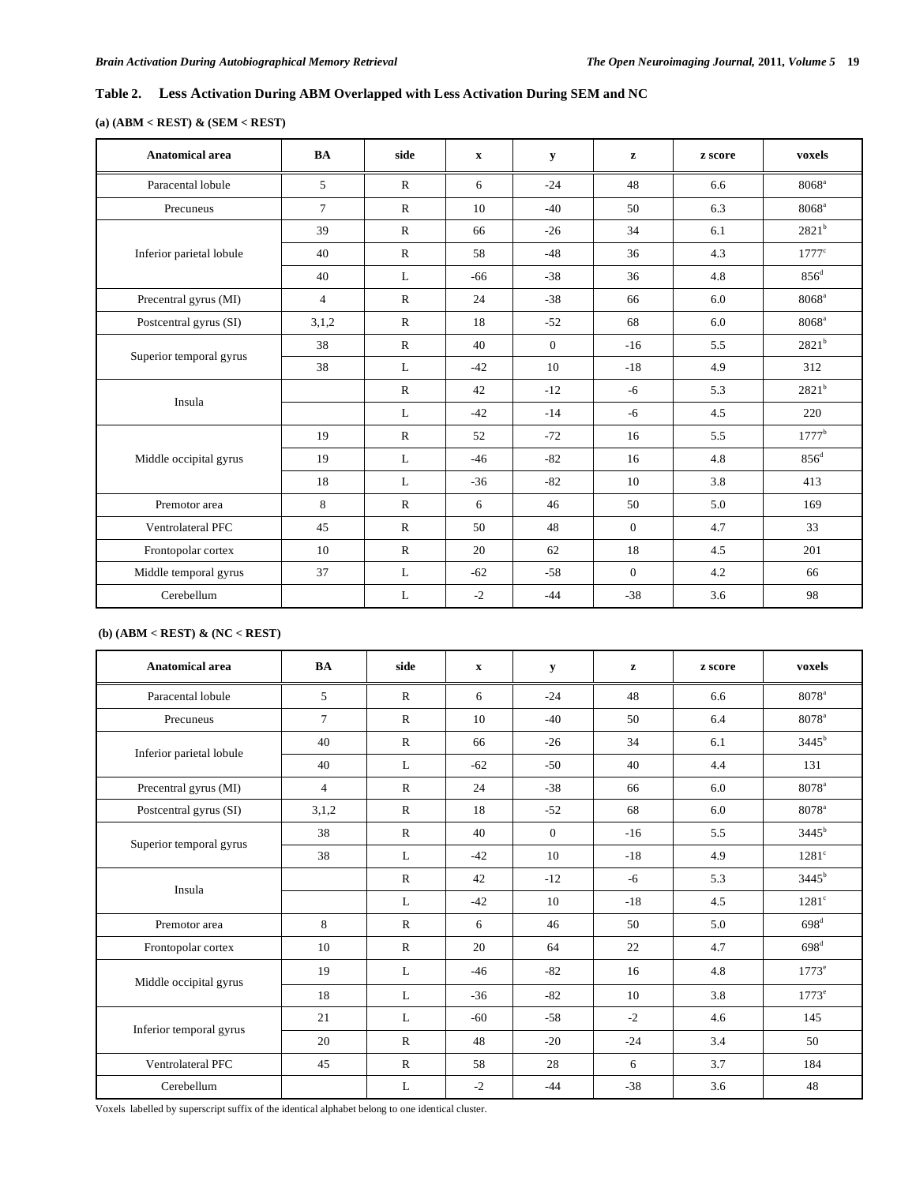# **Table 2. Less Activation During ABM Overlapped with Less Activation During SEM and NC**

# **(a) (ABM < REST) & (SEM < REST)**

| <b>Anatomical area</b>   | <b>BA</b>      | side         | $\boldsymbol{\mathrm{X}}$ | y            | $\mathbf{z}$   | z score | voxels              |
|--------------------------|----------------|--------------|---------------------------|--------------|----------------|---------|---------------------|
| Paracental lobule        | 5              | $\mathbf{R}$ | 6                         | $-24$        | 48             | 6.6     | $8068$ <sup>a</sup> |
| Precuneus                | $\overline{7}$ | $\mathbb{R}$ | 10                        | $-40$        | 50             | 6.3     | $8068$ <sup>a</sup> |
|                          | 39             | $\mathbb{R}$ | 66                        | $-26$        | 34             | 6.1     | 2821 <sup>b</sup>   |
| Inferior parietal lobule | 40             | $\mathbb{R}$ | 58                        | $-48$        | 36             | 4.3     | $1777^{\circ}$      |
|                          | 40             | L            | $-66$                     | $-38$        | 36             | 4.8     | $856^d$             |
| Precentral gyrus (MI)    | $\overline{4}$ | $\mathbb{R}$ | 24                        | $-38$        | 66             | 6.0     | $8068$ <sup>a</sup> |
| Postcentral gyrus (SI)   | 3,1,2          | $\mathbf{R}$ | 18                        | $-52$        | 68             | 6.0     | $8068^{\circ}$      |
| Superior temporal gyrus  | 38             | $\mathbb{R}$ | 40                        | $\mathbf{0}$ | $-16$          | 5.5     | $2821^{b}$          |
|                          | 38             | L            | $-42$                     | 10           | $-18$          | 4.9     | 312                 |
| Insula                   |                | $\mathbb{R}$ | 42                        | $-12$        | $-6$           | 5.3     | $2821^b$            |
|                          |                | L            | $-42$                     | $-14$        | $-6$           | 4.5     | 220                 |
|                          | 19             | $\mathbb{R}$ | 52                        | $-72$        | 16             | 5.5     | $1777^{\rm b}$      |
| Middle occipital gyrus   | 19             | L            | $-46$                     | $-82$        | 16             | 4.8     | $856^{\rm d}$       |
|                          | 18             | L            | $-36$                     | $-82$        | 10             | 3.8     | 413                 |
| Premotor area            | 8              | $\mathbb{R}$ | 6                         | 46           | 50             | 5.0     | 169                 |
| Ventrolateral PFC        | 45             | $\mathbb{R}$ | 50                        | 48           | $\mathbf{0}$   | 4.7     | 33                  |
| Frontopolar cortex       | 10             | $\mathbb{R}$ | 20                        | 62           | 18             | 4.5     | 201                 |
| Middle temporal gyrus    | 37             | L            | $-62$                     | $-58$        | $\overline{0}$ | 4.2     | 66                  |
| Cerebellum               |                | L            | $-2$                      | $-44$        | $-38$          | 3.6     | 98                  |

# **(b) (ABM < REST) & (NC < REST)**

| <b>Anatomical area</b>   | <b>BA</b>      | side         | $\mathbf{x}$ | y        | z     | z score | voxels              |
|--------------------------|----------------|--------------|--------------|----------|-------|---------|---------------------|
| Paracental lobule        | 5              | $\mathbb{R}$ | 6            | $-24$    | 48    | 6.6     | 8078 <sup>a</sup>   |
| Precuneus                | $\overline{7}$ | $\mathbb{R}$ | 10           | $-40$    | 50    | 6.4     | 8078 <sup>a</sup>   |
|                          | 40             | $\mathbb{R}$ | 66           | $-26$    | 34    | 6.1     | $3445^{\rm b}$      |
| Inferior parietal lobule | 40             | L            | $-62$        | $-50$    | 40    | 4.4     | 131                 |
| Precentral gyrus (MI)    | $\overline{4}$ | $\mathbb{R}$ | 24           | $-38$    | 66    | 6.0     | $8078$ <sup>a</sup> |
| Postcentral gyrus (SI)   | 3,1,2          | $\mathbb{R}$ | 18           | $-52$    | 68    | 6.0     | $8078$ <sup>a</sup> |
|                          | 38             | $\mathbb{R}$ | 40           | $\Omega$ | $-16$ | 5.5     | $3445^b$            |
| Superior temporal gyrus  | 38             | L            | $-42$        | 10       | $-18$ | 4.9     | $1281^\circ$        |
| Insula                   |                | $\mathbb{R}$ | 42           | $-12$    | $-6$  | 5.3     | $3445^b$            |
|                          |                | L            | $-42$        | 10       | $-18$ | 4.5     | $1281^{\circ}$      |
| Premotor area            | 8              | $\mathbb{R}$ | 6            | 46       | 50    | 5.0     | $698^{\rm d}$       |
| Frontopolar cortex       | 10             | $\mathbb{R}$ | 20           | 64       | 22    | 4.7     | $698^{\rm d}$       |
| Middle occipital gyrus   | 19             | L            | $-46$        | $-82$    | 16    | 4.8     | $1773^e$            |
|                          | 18             | L            | $-36$        | $-82$    | 10    | 3.8     | $1773^e$            |
|                          | 21             | L            | $-60$        | $-58$    | $-2$  | 4.6     | 145                 |
| Inferior temporal gyrus  | 20             | $\mathsf{R}$ | 48           | $-20$    | $-24$ | 3.4     | 50                  |
| <b>Ventrolateral PFC</b> | 45             | $\mathbb{R}$ | 58           | 28       | 6     | 3.7     | 184                 |
| Cerebellum               |                | L            | $-2$         | $-44$    | $-38$ | 3.6     | 48                  |

Voxels labelled by superscript suffix of the identical alphabet belong to one identical cluster.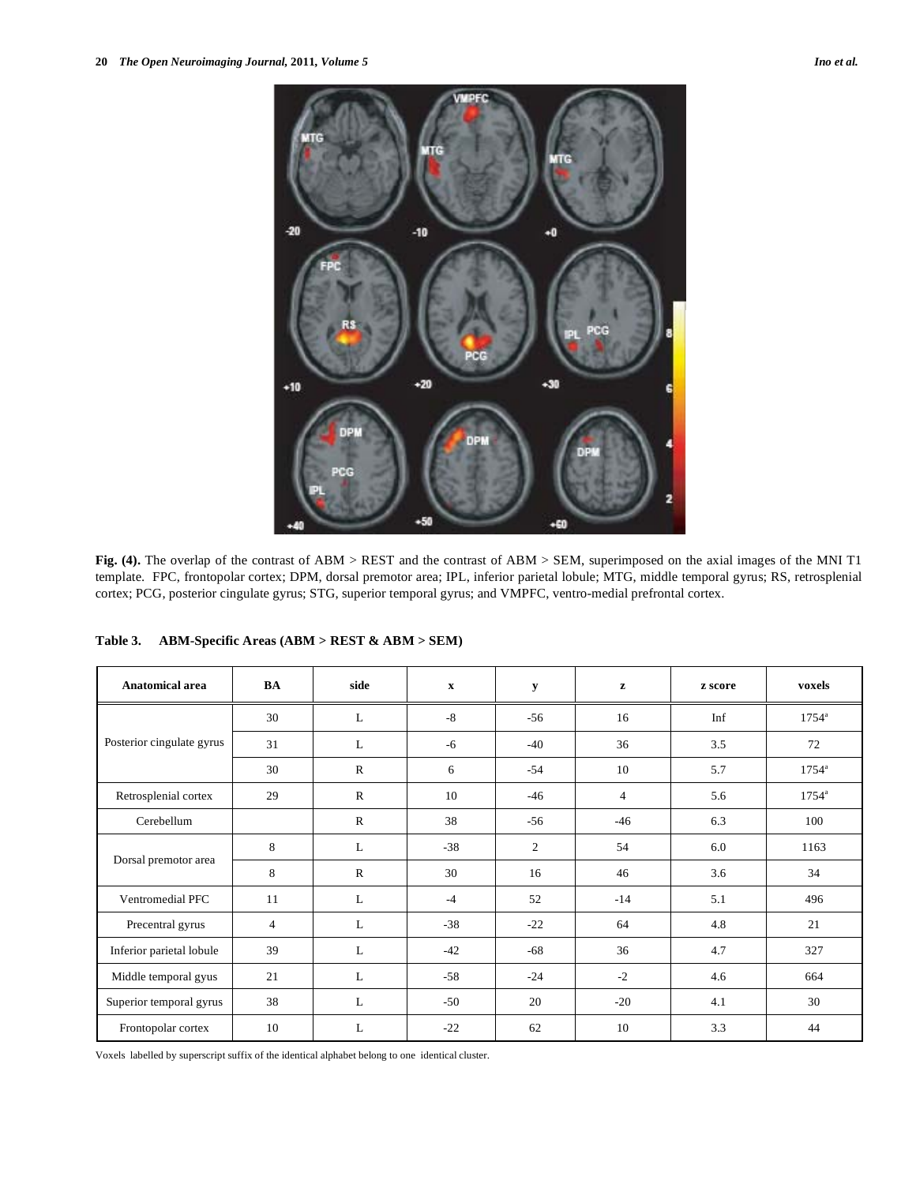

**Fig. (4).** The overlap of the contrast of ABM > REST and the contrast of ABM > SEM, superimposed on the axial images of the MNI T1 template. FPC, frontopolar cortex; DPM, dorsal premotor area; IPL, inferior parietal lobule; MTG, middle temporal gyrus; RS, retrosplenial cortex; PCG, posterior cingulate gyrus; STG, superior temporal gyrus; and VMPFC, ventro-medial prefrontal cortex.

|  | Table 3. | ABM-Specific Areas $(ABM > REST & ABM > SEM)$ |  |  |  |
|--|----------|-----------------------------------------------|--|--|--|
|--|----------|-----------------------------------------------|--|--|--|

| Anatomical area           | BA             | side         | $\mathbf{x}$ | y     | ${\bf z}$      | z score | voxels         |
|---------------------------|----------------|--------------|--------------|-------|----------------|---------|----------------|
|                           | 30             | L            | $-8$         | $-56$ | 16             | Inf     | $1754^{\circ}$ |
| Posterior cingulate gyrus | 31             | L            | -6           | $-40$ | 36             | 3.5     | 72             |
|                           | 30             | $\mathbb{R}$ | 6            | $-54$ | 10             | 5.7     | $1754^{\circ}$ |
| Retrosplenial cortex      | 29             | $\mathbb{R}$ | 10           | $-46$ | $\overline{4}$ | 5.6     | $1754^{\circ}$ |
| Cerebellum                |                | $\mathbb{R}$ | 38           | $-56$ | $-46$          | 6.3     | 100            |
|                           | 8              | L            | $-38$        | 2     | 54             | 6.0     | 1163           |
| Dorsal premotor area      | 8              | $\mathbf{R}$ | 30           | 16    | 46             | 3.6     | 34             |
| Ventromedial PFC          | 11             | L            | $-4$         | 52    | $-14$          | 5.1     | 496            |
| Precentral gyrus          | $\overline{4}$ | L            | $-38$        | $-22$ | 64             | 4.8     | 21             |
| Inferior parietal lobule  | 39             | L            | $-42$        | $-68$ | 36             | 4.7     | 327            |
| Middle temporal gyus      | 21             | L            | $-58$        | $-24$ | $-2$           | 4.6     | 664            |
| Superior temporal gyrus   | 38             | $\mathbf{L}$ | $-50$        | 20    | $-20$          | 4.1     | 30             |
| Frontopolar cortex        | 10             | L            | $-22$        | 62    | 10             | 3.3     | 44             |

Voxels labelled by superscript suffix of the identical alphabet belong to one identical cluster.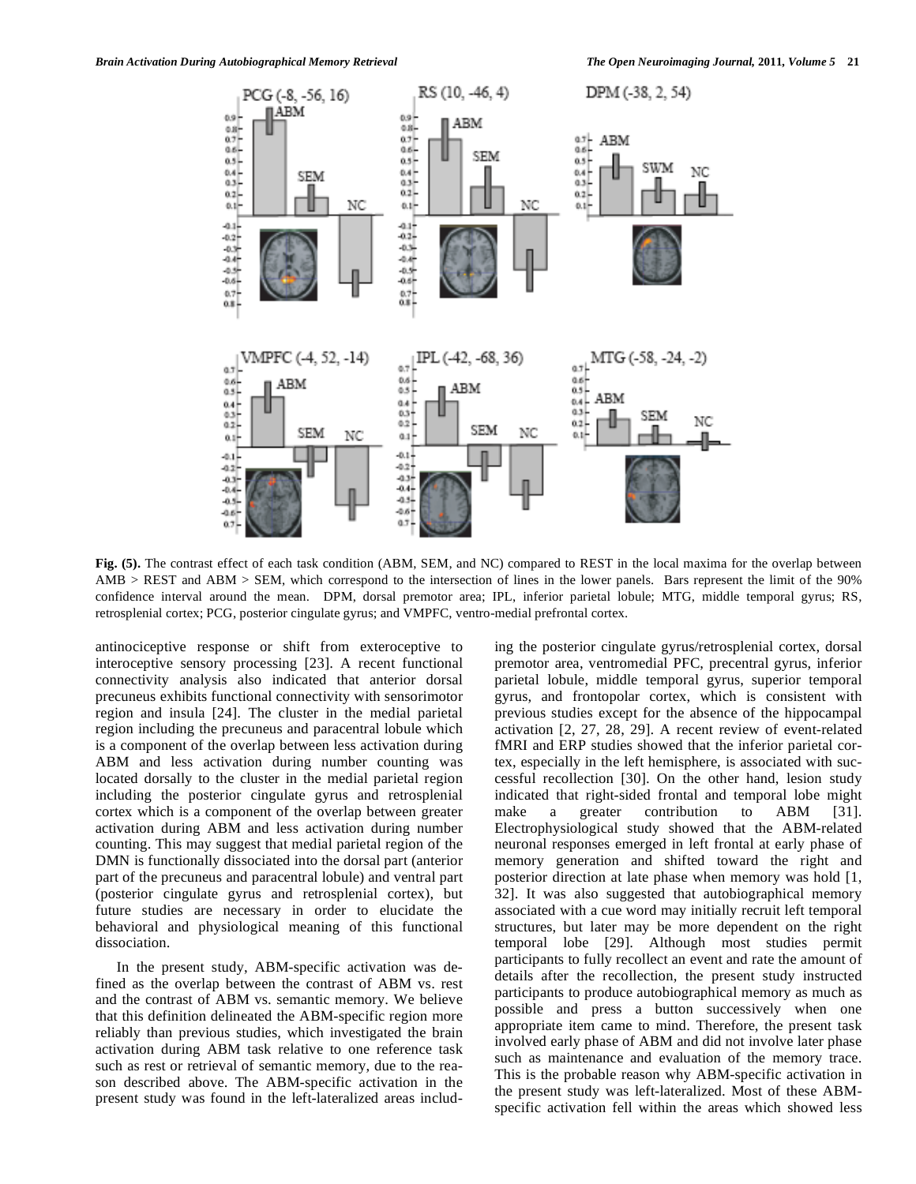

**Fig. (5).** The contrast effect of each task condition (ABM, SEM, and NC) compared to REST in the local maxima for the overlap between AMB > REST and ABM > SEM, which correspond to the intersection of lines in the lower panels. Bars represent the limit of the 90% confidence interval around the mean. DPM, dorsal premotor area; IPL, inferior parietal lobule; MTG, middle temporal gyrus; RS, retrosplenial cortex; PCG, posterior cingulate gyrus; and VMPFC, ventro-medial prefrontal cortex.

antinociceptive response or shift from exteroceptive to interoceptive sensory processing [23]. A recent functional connectivity analysis also indicated that anterior dorsal precuneus exhibits functional connectivity with sensorimotor region and insula [24]. The cluster in the medial parietal region including the precuneus and paracentral lobule which is a component of the overlap between less activation during ABM and less activation during number counting was located dorsally to the cluster in the medial parietal region including the posterior cingulate gyrus and retrosplenial cortex which is a component of the overlap between greater activation during ABM and less activation during number counting. This may suggest that medial parietal region of the DMN is functionally dissociated into the dorsal part (anterior part of the precuneus and paracentral lobule) and ventral part (posterior cingulate gyrus and retrosplenial cortex), but future studies are necessary in order to elucidate the behavioral and physiological meaning of this functional dissociation.

 In the present study, ABM-specific activation was defined as the overlap between the contrast of ABM vs. rest and the contrast of ABM vs. semantic memory. We believe that this definition delineated the ABM-specific region more reliably than previous studies, which investigated the brain activation during ABM task relative to one reference task such as rest or retrieval of semantic memory, due to the reason described above. The ABM-specific activation in the present study was found in the left-lateralized areas including the posterior cingulate gyrus/retrosplenial cortex, dorsal premotor area, ventromedial PFC, precentral gyrus, inferior parietal lobule, middle temporal gyrus, superior temporal gyrus, and frontopolar cortex, which is consistent with previous studies except for the absence of the hippocampal activation [2, 27, 28, 29]. A recent review of event-related fMRI and ERP studies showed that the inferior parietal cortex, especially in the left hemisphere, is associated with successful recollection [30]. On the other hand, lesion study indicated that right-sided frontal and temporal lobe might make a greater contribution to ABM [31]. Electrophysiological study showed that the ABM-related neuronal responses emerged in left frontal at early phase of memory generation and shifted toward the right and posterior direction at late phase when memory was hold [1, 32]. It was also suggested that autobiographical memory associated with a cue word may initially recruit left temporal structures, but later may be more dependent on the right temporal lobe [29]. Although most studies permit participants to fully recollect an event and rate the amount of details after the recollection, the present study instructed participants to produce autobiographical memory as much as possible and press a button successively when one appropriate item came to mind. Therefore, the present task involved early phase of ABM and did not involve later phase such as maintenance and evaluation of the memory trace. This is the probable reason why ABM-specific activation in the present study was left-lateralized. Most of these ABMspecific activation fell within the areas which showed less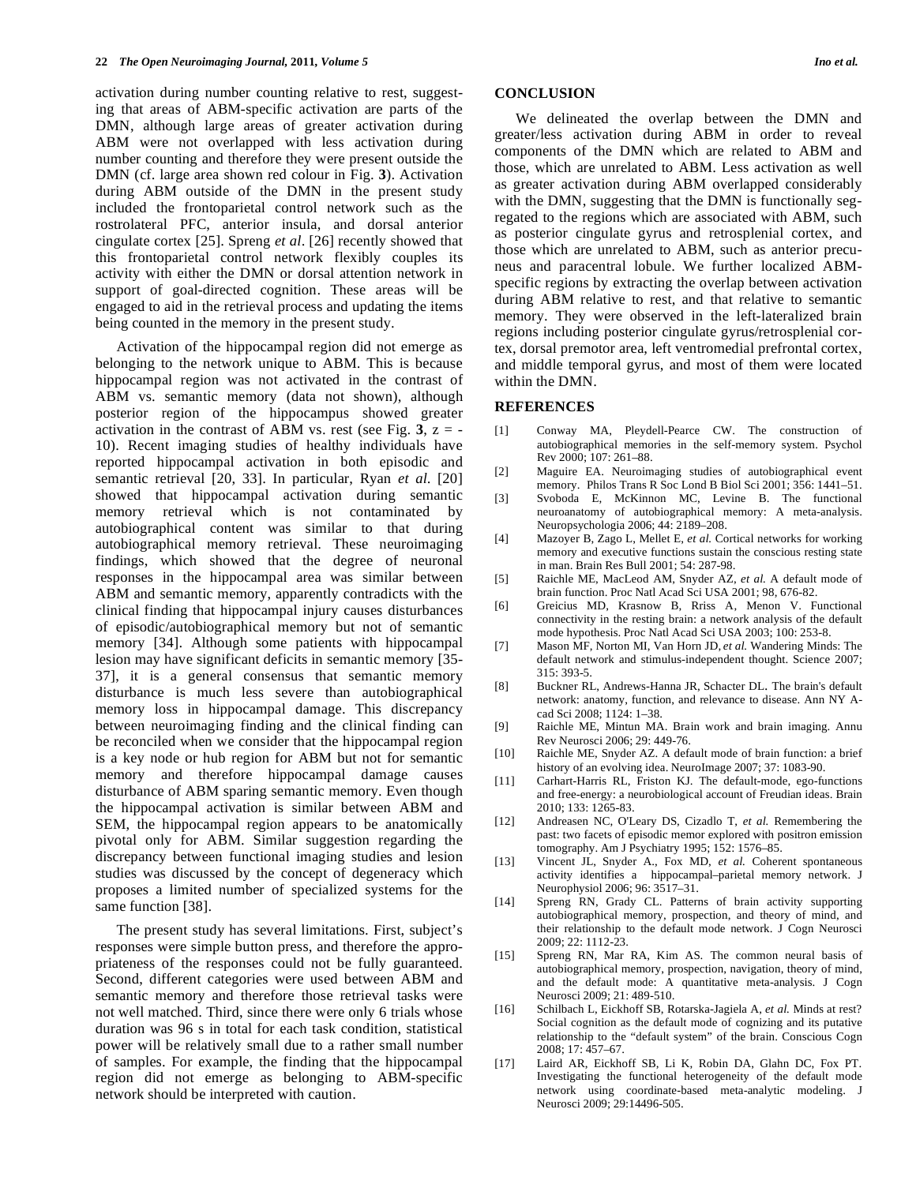activation during number counting relative to rest, suggesting that areas of ABM-specific activation are parts of the DMN, although large areas of greater activation during ABM were not overlapped with less activation during number counting and therefore they were present outside the DMN (cf. large area shown red colour in Fig. **3**). Activation during ABM outside of the DMN in the present study included the frontoparietal control network such as the rostrolateral PFC, anterior insula, and dorsal anterior cingulate cortex [25]. Spreng *et al*. [26] recently showed that this frontoparietal control network flexibly couples its activity with either the DMN or dorsal attention network in support of goal-directed cognition. These areas will be engaged to aid in the retrieval process and updating the items being counted in the memory in the present study.

 Activation of the hippocampal region did not emerge as belonging to the network unique to ABM. This is because hippocampal region was not activated in the contrast of ABM vs. semantic memory (data not shown), although posterior region of the hippocampus showed greater activation in the contrast of ABM vs. rest (see Fig.  $3$ ,  $z = -$ 10). Recent imaging studies of healthy individuals have reported hippocampal activation in both episodic and semantic retrieval [20, 33]. In particular, Ryan *et al*. [20] showed that hippocampal activation during semantic memory retrieval which is not contaminated by autobiographical content was similar to that during autobiographical memory retrieval. These neuroimaging findings, which showed that the degree of neuronal responses in the hippocampal area was similar between ABM and semantic memory, apparently contradicts with the clinical finding that hippocampal injury causes disturbances of episodic/autobiographical memory but not of semantic memory [34]. Although some patients with hippocampal lesion may have significant deficits in semantic memory [35- 37], it is a general consensus that semantic memory disturbance is much less severe than autobiographical memory loss in hippocampal damage. This discrepancy between neuroimaging finding and the clinical finding can be reconciled when we consider that the hippocampal region is a key node or hub region for ABM but not for semantic memory and therefore hippocampal damage causes disturbance of ABM sparing semantic memory. Even though the hippocampal activation is similar between ABM and SEM, the hippocampal region appears to be anatomically pivotal only for ABM. Similar suggestion regarding the discrepancy between functional imaging studies and lesion studies was discussed by the concept of degeneracy which proposes a limited number of specialized systems for the same function [38].

 The present study has several limitations. First, subject's responses were simple button press, and therefore the appropriateness of the responses could not be fully guaranteed. Second, different categories were used between ABM and semantic memory and therefore those retrieval tasks were not well matched. Third, since there were only 6 trials whose duration was 96 s in total for each task condition, statistical power will be relatively small due to a rather small number of samples. For example, the finding that the hippocampal region did not emerge as belonging to ABM-specific network should be interpreted with caution.

# **CONCLUSION**

 We delineated the overlap between the DMN and greater/less activation during ABM in order to reveal components of the DMN which are related to ABM and those, which are unrelated to ABM. Less activation as well as greater activation during ABM overlapped considerably with the DMN, suggesting that the DMN is functionally segregated to the regions which are associated with ABM, such as posterior cingulate gyrus and retrosplenial cortex, and those which are unrelated to ABM, such as anterior precuneus and paracentral lobule. We further localized ABMspecific regions by extracting the overlap between activation during ABM relative to rest, and that relative to semantic memory. They were observed in the left-lateralized brain regions including posterior cingulate gyrus/retrosplenial cortex, dorsal premotor area, left ventromedial prefrontal cortex, and middle temporal gyrus, and most of them were located within the DMN.

# **REFERENCES**

- [1] Conway MA, Pleydell-Pearce CW. The construction of autobiographical memories in the self-memory system. Psychol Rev 2000; 107: 261–88.
- [2] Maguire EA. Neuroimaging studies of autobiographical event memory. Philos Trans R Soc Lond B Biol Sci 2001; 356: 1441–51.
- [3] Svoboda E, McKinnon MC, Levine B. The functional neuroanatomy of autobiographical memory: A meta-analysis. Neuropsychologia 2006; 44: 2189–208.
- [4] Mazoyer B, Zago L, Mellet E, *et al.* Cortical networks for working memory and executive functions sustain the conscious resting state in man. Brain Res Bull 2001; 54: 287-98.
- [5] Raichle ME, MacLeod AM, Snyder AZ, *et al.* A default mode of brain function. Proc Natl Acad Sci USA 2001; 98, 676-82.
- [6] Greicius MD, Krasnow B, Rriss A, Menon V. Functional connectivity in the resting brain: a network analysis of the default mode hypothesis. Proc Natl Acad Sci USA 2003; 100: 253-8.
- [7] Mason MF, Norton MI, Van Horn JD, *et al.* Wandering Minds: The default network and stimulus-independent thought. Science 2007; 315: 393-5.
- [8] Buckner RL, Andrews-Hanna JR, Schacter DL. The brain's default network: anatomy, function, and relevance to disease. Ann NY Acad Sci 2008; 1124: 1–38.
- [9] Raichle ME, Mintun MA. Brain work and brain imaging. Annu Rev Neurosci 2006; 29: 449-76.
- [10] Raichle ME, Snyder AZ. A default mode of brain function: a brief history of an evolving idea. NeuroImage 2007; 37: 1083-90.
- [11] Carhart-Harris RL, Friston KJ. The default-mode, ego-functions and free-energy: a neurobiological account of Freudian ideas. Brain 2010; 133: 1265-83.
- [12] Andreasen NC, O'Leary DS, Cizadlo T, *et al.* Remembering the past: two facets of episodic memor explored with positron emission tomography. Am J Psychiatry 1995; 152: 1576–85.
- [13] Vincent JL, Snyder A., Fox MD, *et al.* Coherent spontaneous activity identifies a hippocampal–parietal memory network. J Neurophysiol 2006; 96: 3517–31.
- [14] Spreng RN, Grady CL. Patterns of brain activity supporting autobiographical memory, prospection, and theory of mind, and their relationship to the default mode network. J Cogn Neurosci 2009; 22: 1112-23.
- [15] Spreng RN, Mar RA, Kim AS. The common neural basis of autobiographical memory, prospection, navigation, theory of mind, and the default mode: A quantitative meta-analysis. J Cogn Neurosci 2009; 21: 489-510.
- [16] Schilbach L, Eickhoff SB, Rotarska-Jagiela A, *et al.* Minds at rest? Social cognition as the default mode of cognizing and its putative relationship to the "default system" of the brain. Conscious Cogn 2008; 17: 457–67.
- [17] Laird AR, Eickhoff SB, Li K, Robin DA, Glahn DC, Fox PT. Investigating the functional heterogeneity of the default mode network using coordinate-based meta-analytic modeling. J Neurosci 2009; 29:14496-505.